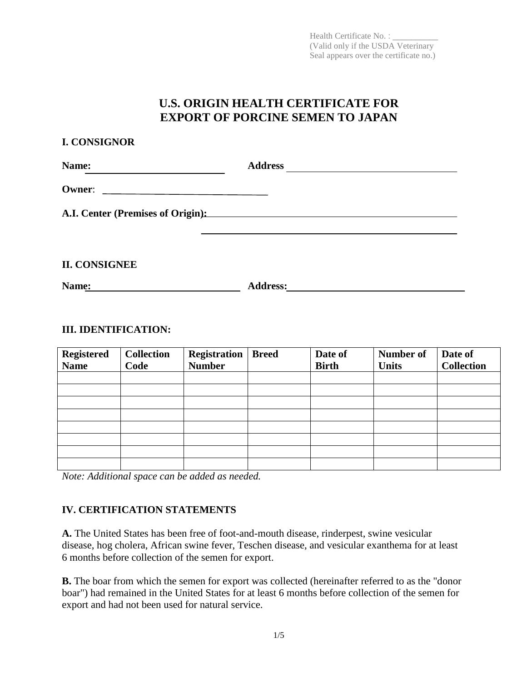Health Certificate No.: (Valid only if the USDA Veterinary Seal appears over the certificate no.)

# **U.S. ORIGIN HEALTH CERTIFICATE FOR EXPORT OF PORCINE SEMEN TO JAPAN**

| <b>Address</b><br><u> 1980 - Antonio Alemania, prima prima prima prima prima prima prima prima prima prima prima prima prima prima</u><br>A.I. Center (Premises of Origin): |
|-----------------------------------------------------------------------------------------------------------------------------------------------------------------------------|

**II. CONSIGNEE**

**I. CONSIGNOR**

**Name: Address:** 

## **III. IDENTIFICATION:**

| <b>Registered</b><br><b>Name</b> | <b>Collection</b><br>Code | <b>Registration</b><br><b>Number</b> | <b>Breed</b> | Date of<br><b>Birth</b> | Number of<br><b>Units</b> | Date of<br><b>Collection</b> |
|----------------------------------|---------------------------|--------------------------------------|--------------|-------------------------|---------------------------|------------------------------|
|                                  |                           |                                      |              |                         |                           |                              |
|                                  |                           |                                      |              |                         |                           |                              |
|                                  |                           |                                      |              |                         |                           |                              |
|                                  |                           |                                      |              |                         |                           |                              |
|                                  |                           |                                      |              |                         |                           |                              |
|                                  |                           |                                      |              |                         |                           |                              |
|                                  |                           |                                      |              |                         |                           |                              |
|                                  |                           |                                      |              |                         |                           |                              |

*Note: Additional space can be added as needed.* 

# **IV. CERTIFICATION STATEMENTS**

**A.** The United States has been free of foot-and-mouth disease, rinderpest, swine vesicular disease, hog cholera, African swine fever, Teschen disease, and vesicular exanthema for at least 6 months before collection of the semen for export.

**B.** The boar from which the semen for export was collected (hereinafter referred to as the "donor" boar") had remained in the United States for at least 6 months before collection of the semen for export and had not been used for natural service.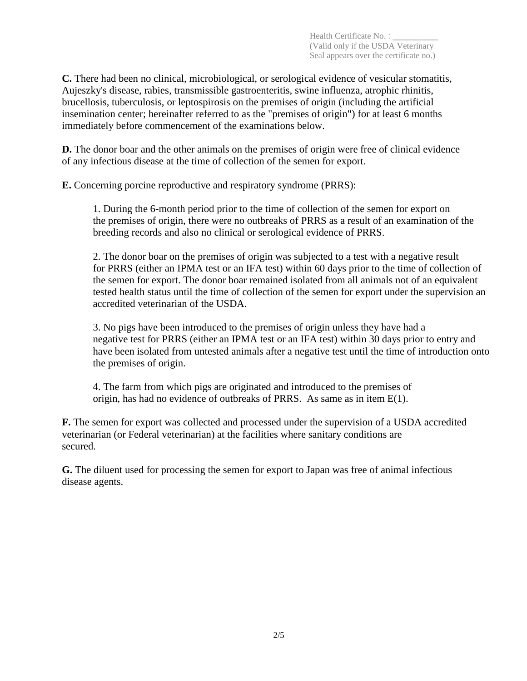**C.** There had been no clinical, microbiological, or serological evidence of vesicular stomatitis, Aujeszky's disease, rabies, transmissible gastroenteritis, swine influenza, atrophic rhinitis, brucellosis, tuberculosis, or leptospirosis on the premises of origin (including the artificial insemination center; hereinafter referred to as the "premises of origin") for at least 6 months immediately before commencement of the examinations below.

**D.** The donor boar and the other animals on the premises of origin were free of clinical evidence of any infectious disease at the time of collection of the semen for export.

**E.** Concerning porcine reproductive and respiratory syndrome (PRRS):

1. During the 6-month period prior to the time of collection of the semen for export on the premises of origin, there were no outbreaks of PRRS as a result of an examination of the breeding records and also no clinical or serological evidence of PRRS.

2. The donor boar on the premises of origin was subjected to a test with a negative result for PRRS (either an IPMA test or an IFA test) within 60 days prior to the time of collection of the semen for export. The donor boar remained isolated from all animals not of an equivalent tested health status until the time of collection of the semen for export under the supervision an accredited veterinarian of the USDA.

3. No pigs have been introduced to the premises of origin unless they have had a negative test for PRRS (either an IPMA test or an IFA test) within 30 days prior to entry and have been isolated from untested animals after a negative test until the time of introduction onto the premises of origin.

4. The farm from which pigs are originated and introduced to the premises of origin, has had no evidence of outbreaks of PRRS. As same as in item E(1).

**F.** The semen for export was collected and processed under the supervision of a USDA accredited veterinarian (or Federal veterinarian) at the facilities where sanitary conditions are secured.

**G.** The diluent used for processing the semen for export to Japan was free of animal infectious disease agents.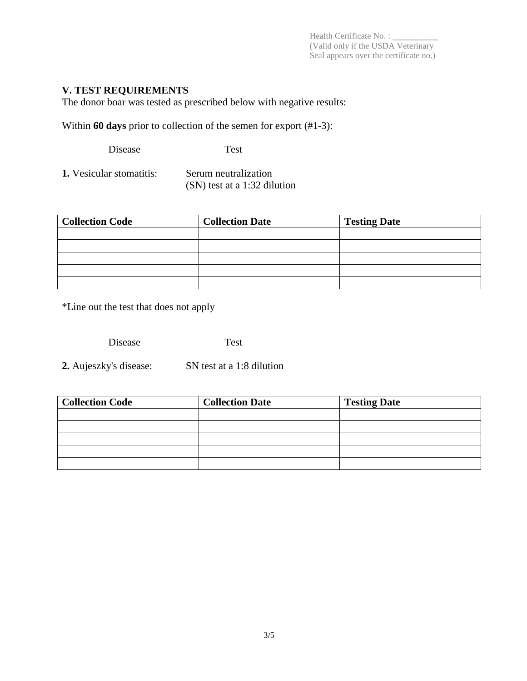Health Certificate No. : \_\_\_\_\_\_\_\_\_\_ (Valid only if the USDA Veterinary Seal appears over the certificate no.)

## **V. TEST REQUIREMENTS**

The donor boar was tested as prescribed below with negative results:

Within **60 days** prior to collection of the semen for export (#1-3):

Disease Test

**1.** Vesicular stomatitis: Serum neutralization (SN) test at a 1:32 dilution

| <b>Collection Code</b> | <b>Collection Date</b> | <b>Testing Date</b> |
|------------------------|------------------------|---------------------|
|                        |                        |                     |
|                        |                        |                     |
|                        |                        |                     |
|                        |                        |                     |
|                        |                        |                     |

\*Line out the test that does not apply

Disease Test

**2.** Aujeszky's disease: SN test at a 1:8 dilution

| <b>Collection Code</b> | <b>Collection Date</b> | <b>Testing Date</b> |
|------------------------|------------------------|---------------------|
|                        |                        |                     |
|                        |                        |                     |
|                        |                        |                     |
|                        |                        |                     |
|                        |                        |                     |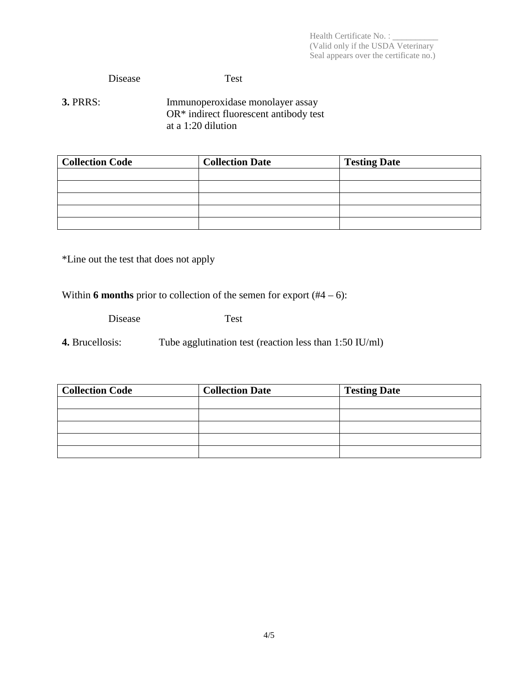Health Certificate No. : \_\_\_\_\_\_\_\_\_\_ (Valid only if the USDA Veterinary Seal appears over the certificate no.)

#### Disease Test

**3. PRRS:** Immunoperoxidase monolayer assay OR\* indirect fluorescent antibody test at a 1:20 dilution

| <b>Collection Code</b> | <b>Collection Date</b> | <b>Testing Date</b> |
|------------------------|------------------------|---------------------|
|                        |                        |                     |
|                        |                        |                     |
|                        |                        |                     |
|                        |                        |                     |
|                        |                        |                     |

\*Line out the test that does not apply

Within **6 months** prior to collection of the semen for export  $(#4 - 6)$ :

Disease Test

**4.** Brucellosis: Tube agglutination test (reaction less than 1:50 IU/ml)

| <b>Collection Code</b> | <b>Collection Date</b> | <b>Testing Date</b> |
|------------------------|------------------------|---------------------|
|                        |                        |                     |
|                        |                        |                     |
|                        |                        |                     |
|                        |                        |                     |
|                        |                        |                     |